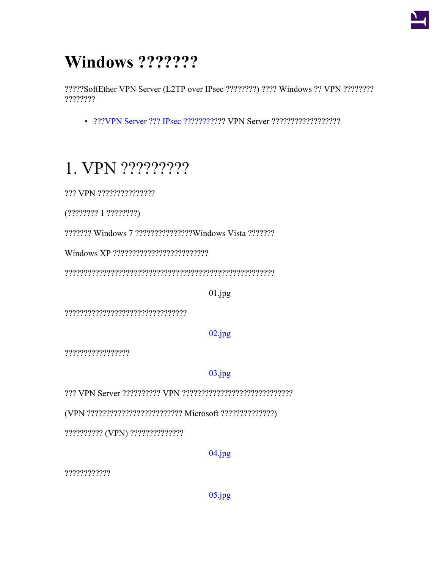

# Windows ???????

?????SoftEther VPN Server (L2TP over IPsec ????????) ???? Windows ?? VPN ???????? ????????

## 1. VPN ??????????

 $(????????? 1 ????????)$ 

2222222 Windows 7 22222222222222 Windows Vista 2222222

 $01.jpg$ 

 $02.jpg$ 

??????????????????

 $03.jpg$ 

(VPN ?????????????????????????? Microsoft ???????????????)

?????????? (VPN) ??????????????

 $04.jpg$ 

????????????

 $05.jpg$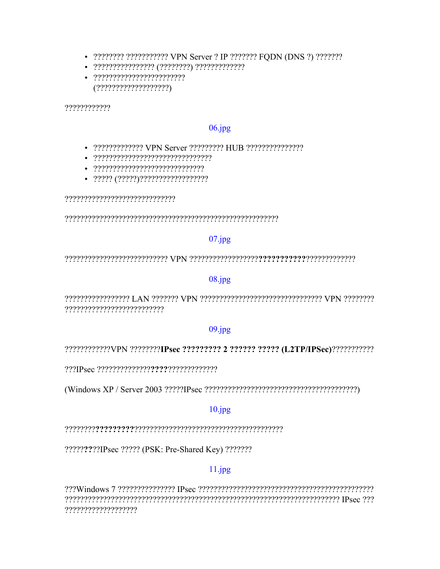- ???????? ??????????? VPN Server ? IP ??????? FQDN (DNS ?) ????????
- 
- $(?????????????????????)$

????????????

#### $06.jpg$

- 2222222222222 VPN Server 222222222 HUB 222222222222222
- 
- 
- 

#### $07$ .jpg

#### $08.jpg$

???????????????????????????

#### $09.jpg$

?????????????VPN ????????IPsec ????????? 2 ?????? ????? (L2TP/IPSec)????????????

#### $10.jpg$

??????????!Psec ????? (PSK: Pre-Shared Key) ???????

#### $11.jpg$

????????????????????